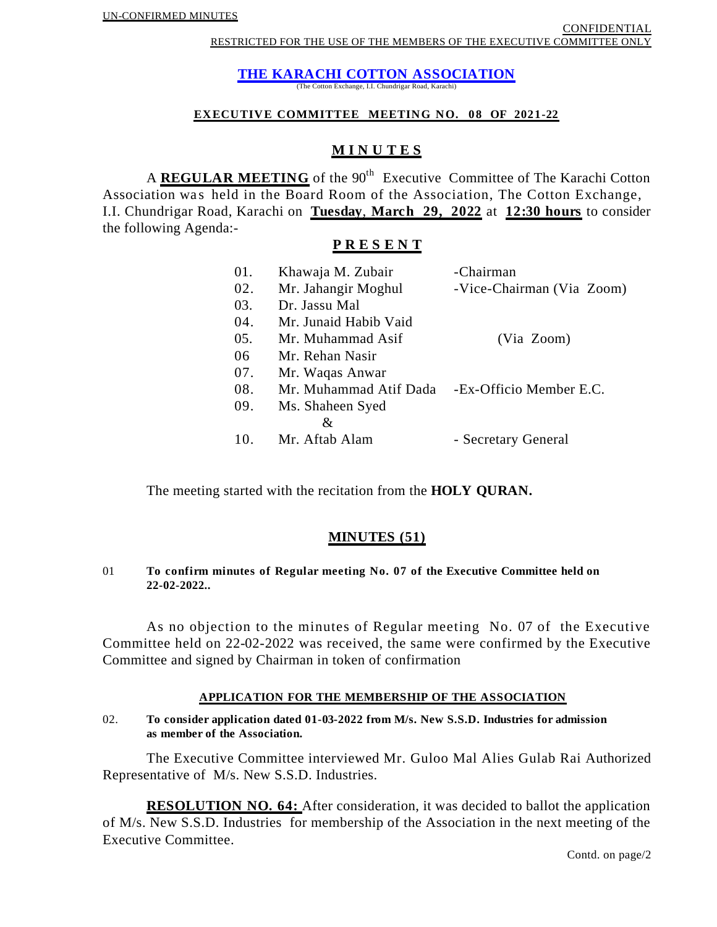## **THE KARACHI COTTON ASSOCIATION**

(The Cotton Exchange, I.I. Chundrigar Road, Karachi)

#### **EXECUTIVE COMMITTEE MEETING NO. 08 OF 2021-22**

## **M I N U T E S**

A **REGULAR MEETING** of the 90<sup>th</sup> Executive Committee of The Karachi Cotton Association was held in the Board Room of the Association, The Cotton Exchange, I.I. Chundrigar Road, Karachi on **Tuesday**, **March 29, 2022** at **12:30 hours** to consider the following Agenda:-

## **P R E S E N T**

| 01. | Khawaja M. Zubair      | -Chairman                 |
|-----|------------------------|---------------------------|
| 02. | Mr. Jahangir Moghul    | -Vice-Chairman (Via Zoom) |
| 03. | Dr. Jassu Mal          |                           |
| 04. | Mr. Junaid Habib Vaid  |                           |
| 05. | Mr. Muhammad Asif      | (Via Zoom)                |
| 06  | Mr. Rehan Nasir        |                           |
| 07. | Mr. Waqas Anwar        |                           |
| 08. | Mr. Muhammad Atif Dada | -Ex-Officio Member E.C.   |
| 09. | Ms. Shaheen Syed       |                           |
|     | &                      |                           |
| 10. | Mr. Aftab Alam         | - Secretary General       |
|     |                        |                           |

The meeting started with the recitation from the **HOLY QURAN.**

## **MINUTES (51)**

#### 01 **To confirm minutes of Regular meeting No. 07 of the Executive Committee held on 22-02-2022..**

As no objection to the minutes of Regular meeting No. 07 of the Executive Committee held on 22-02-2022 was received, the same were confirmed by the Executive Committee and signed by Chairman in token of confirmation

#### **APPLICATION FOR THE MEMBERSHIP OF THE ASSOCIATION**

02. **To consider application dated 01-03-2022 from M/s. New S.S.D. Industries for admission as member of the Association.**

The Executive Committee interviewed Mr. Guloo Mal Alies Gulab Rai Authorized Representative of M/s. New S.S.D. Industries.

**RESOLUTION NO. 64:** After consideration, it was decided to ballot the application of M/s. New S.S.D. Industries for membership of the Association in the next meeting of the Executive Committee.

Contd. on page/2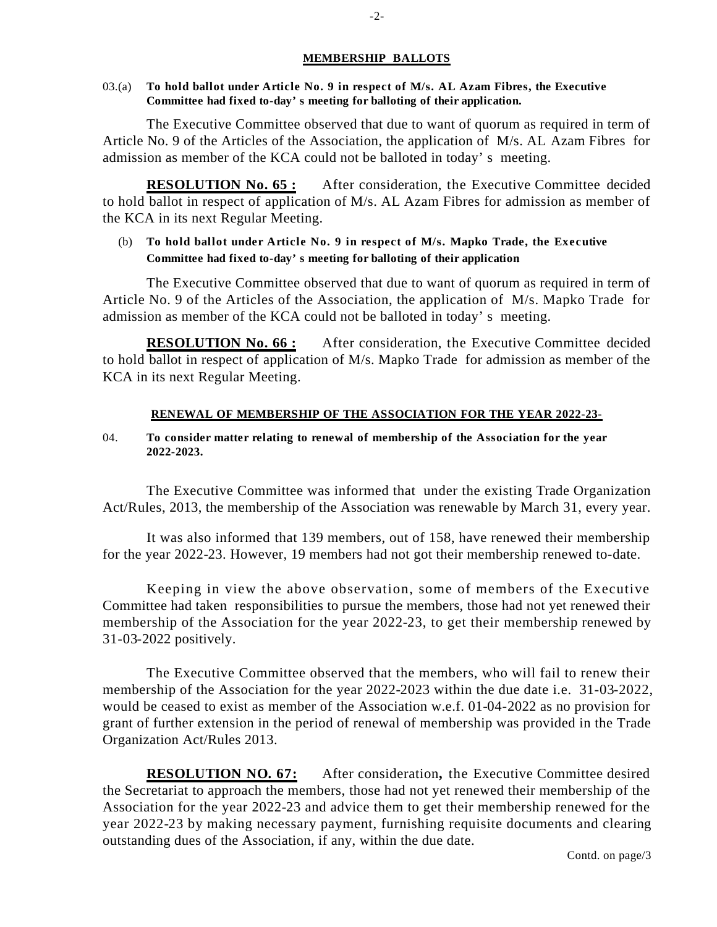#### **MEMBERSHIP BALLOTS**

#### 03.(a) **To hold ballot under Article No. 9 in respect of M/s. AL Azam Fibres, the Executive Committee had fixed to-day's meeting for balloting of their application.**

The Executive Committee observed that due to want of quorum as required in term of Article No. 9 of the Articles of the Association, the application of M/s. AL Azam Fibres for admission as member of the KCA could not be balloted in today's meeting.

**RESOLUTION No. 65 :** After consideration, the Executive Committee decided to hold ballot in respect of application of M/s. AL Azam Fibres for admission as member of the KCA in its next Regular Meeting.

## (b) **To hold ballot under Article No. 9 in respect of M/s. Mapko Trade, the Executive Committee had fixed to-day's meeting for balloting of their application**.

The Executive Committee observed that due to want of quorum as required in term of Article No. 9 of the Articles of the Association, the application of M/s. Mapko Trade for admission as member of the KCA could not be balloted in today's meeting.

**RESOLUTION No. 66 :** After consideration, the Executive Committee decided to hold ballot in respect of application of M/s. Mapko Trade for admission as member of the KCA in its next Regular Meeting.

#### **RENEWAL OF MEMBERSHIP OF THE ASSOCIATION FOR THE YEAR 2022-23-**

#### 04. **To consider matter relating to renewal of membership of the Association for the year 2022-2023.**

The Executive Committee was informed that under the existing Trade Organization Act/Rules, 2013, the membership of the Association was renewable by March 31, every year.

It was also informed that 139 members, out of 158, have renewed their membership for the year 2022-23. However, 19 members had not got their membership renewed to-date.

Keeping in view the above observation, some of members of the Executive Committee had taken responsibilities to pursue the members, those had not yet renewed their membership of the Association for the year 2022-23, to get their membership renewed by 31-03-2022 positively.

The Executive Committee observed that the members, who will fail to renew their membership of the Association for the year 2022-2023 within the due date i.e. 31-03-2022, would be ceased to exist as member of the Association w.e.f. 01-04-2022 as no provision for grant of further extension in the period of renewal of membership was provided in the Trade Organization Act/Rules 2013.

**RESOLUTION NO. 67:** After consideration**,** the Executive Committee desired the Secretariat to approach the members, those had not yet renewed their membership of the Association for the year 2022-23 and advice them to get their membership renewed for the year 2022-23 by making necessary payment, furnishing requisite documents and clearing outstanding dues of the Association, if any, within the due date.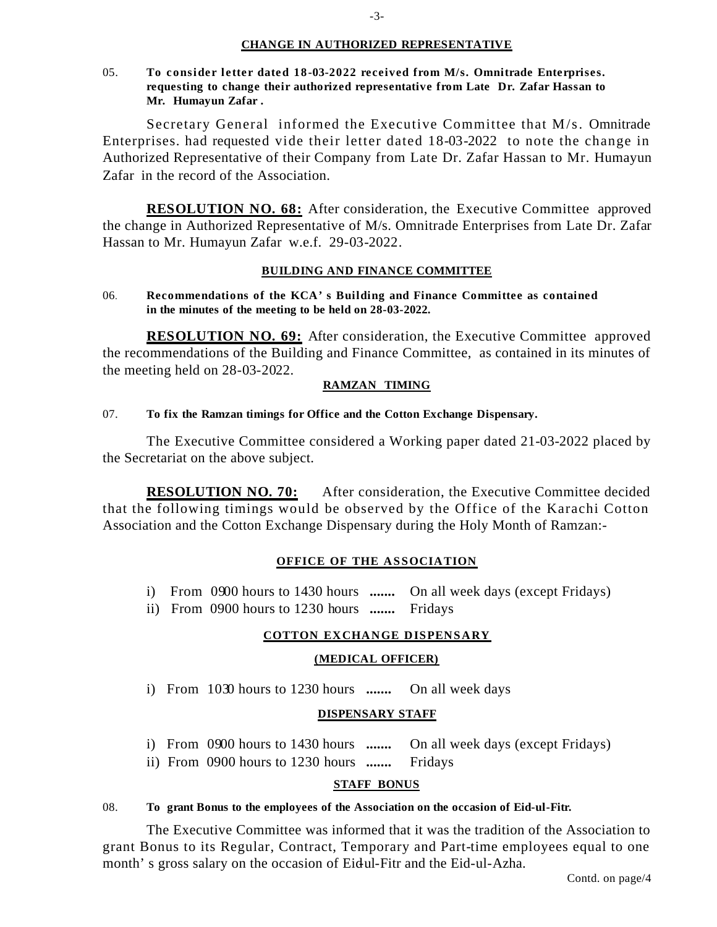#### **CHANGE IN AUTHORIZED REPRESENTATIVE**

05. **To consider letter dated 18-03-2022 received from M/s. Omnitrade Enterprises. requesting to change their authorized representative from Late Dr. Zafar Hassan to Mr. Humayun Zafar .**

Secretary General informed the Executive Committee that M/s. Omnitrade Enterprises. had requested vide their letter dated 18-03-2022 to note the change in Authorized Representative of their Company from Late Dr. Zafar Hassan to Mr. Humayun Zafar in the record of the Association.

**RESOLUTION NO. 68:** After consideration, the Executive Committee approved the change in Authorized Representative of M/s. Omnitrade Enterprises from Late Dr. Zafar Hassan to Mr. Humayun Zafar w.e.f. 29-03-2022.

#### **BUILDING AND FINANCE COMMITTEE**

06. **Recommendations of the KCA's Building and Finance Committee as contained in the minutes of the meeting to be held on 28-03-2022.** 

**RESOLUTION NO. 69:** After consideration, the Executive Committee approved the recommendations of the Building and Finance Committee, as contained in its minutes of the meeting held on 28-03-2022.

#### **RAMZAN TIMING**

#### 07. **To fix the Ramzan timings for Office and the Cotton Exchange Dispensary.**

The Executive Committee considered a Working paper dated 21-03-2022 placed by the Secretariat on the above subject.

**RESOLUTION NO. 70:** After consideration, the Executive Committee decided that the following timings would be observed by the Office of the Karachi Cotton Association and the Cotton Exchange Dispensary during the Holy Month of Ramzan:-

#### **OFFICE OF THE ASSOCIATION**

- i) From 0900 hours to 1430 hours **.......** On all week days (except Fridays)
- ii) From 0900 hours to 1230 hours **.......** Fridays

#### **COTTON EXCHANGE DISPENSARY**

#### **(MEDICAL OFFICER)**

i) From 1030 hours to 1230 hours **.......** On all week days

#### **DISPENSARY STAFF**

- i) From 0900 hours to 1430 hours **.......** On all week days (except Fridays)
- ii) From 0900 hours to 1230 hours **.......** Fridays

#### **STAFF BONUS**

#### 08. **To grant Bonus to the employees of the Association on the occasion of Eid-ul-Fitr.**

The Executive Committee was informed that it was the tradition of the Association to grant Bonus to its Regular, Contract, Temporary and Part-time employees equal to one month's gross salary on the occasion of Eidul-Fitr and the Eid-ul-Azha.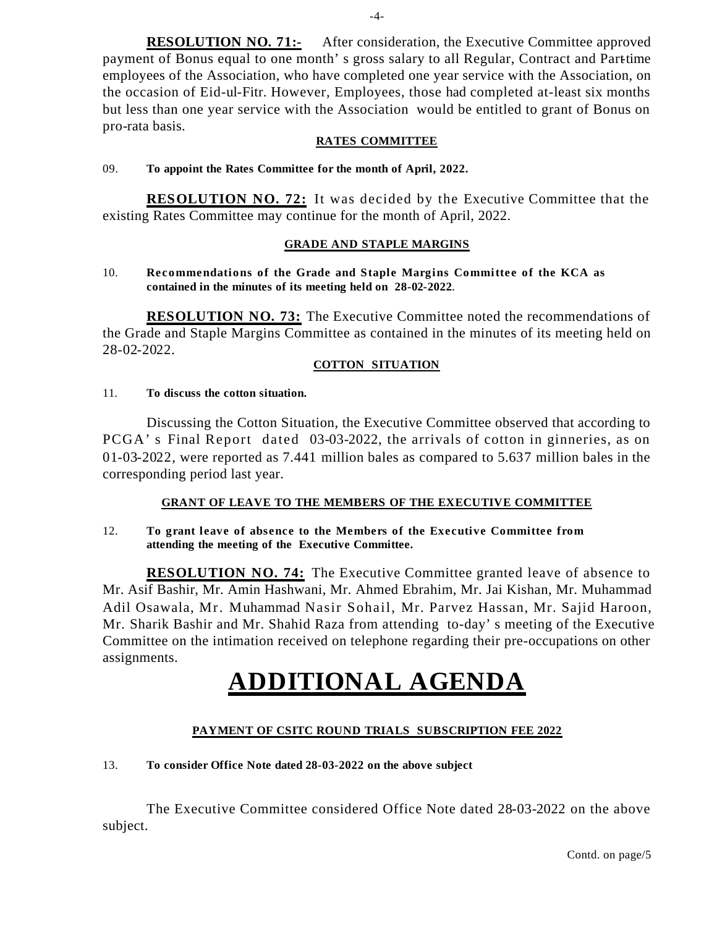**RESOLUTION NO. 71:-** After consideration, the Executive Committee approved payment of Bonus equal to one month's gross salary to all Regular, Contract and Parttime employees of the Association, who have completed one year service with the Association, on the occasion of Eid-ul-Fitr. However, Employees, those had completed at-least six months but less than one year service with the Association would be entitled to grant of Bonus on pro-rata basis.

#### **RATES COMMITTEE**

#### 09. **To appoint the Rates Committee for the month of April, 2022.**

**RESOLUTION NO. 72:** It was decided by the Executive Committee that the existing Rates Committee may continue for the month of April, 2022.

#### **GRADE AND STAPLE MARGINS**

#### 10. **Recommendations of the Grade and Staple Margins Committee of the KCA as contained in the minutes of its meeting held on 28-02-2022.**

**RESOLUTION NO. 73:** The Executive Committee noted the recommendations of the Grade and Staple Margins Committee as contained in the minutes of its meeting held on 28-02-2022.

#### **COTTON SITUATION**

#### 11. **To discuss the cotton situation.**

Discussing the Cotton Situation, the Executive Committee observed that according to PCGA's Final Report dated 03-03-2022, the arrivals of cotton in ginneries, as on 01-03-2022, were reported as 7.441 million bales as compared to 5.637 million bales in the corresponding period last year.

### **GRANT OF LEAVE TO THE MEMBERS OF THE EXECUTIVE COMMITTEE**

12. **To grant leave of absence to the Members of the Executive Committee from attending the meeting of the Executive Committee.** 

**RESOLUTION NO. 74:** The Executive Committee granted leave of absence to Mr. Asif Bashir, Mr. Amin Hashwani, Mr. Ahmed Ebrahim, Mr. Jai Kishan, Mr. Muhammad Adil Osawala, Mr. Muhammad Nasir Sohail, Mr. Parvez Hassan, Mr. Sajid Haroon, Mr. Sharik Bashir and Mr. Shahid Raza from attending to-day's meeting of the Executive Committee on the intimation received on telephone regarding their pre-occupations on other assignments.

# **ADDITIONAL AGENDA**

#### **PAYMENT OF CSITC ROUND TRIALS SUBSCRIPTION FEE 2022**

#### 13. **To consider Office Note dated 28-03-2022 on the above subject**

The Executive Committee considered Office Note dated 28-03-2022 on the above subject.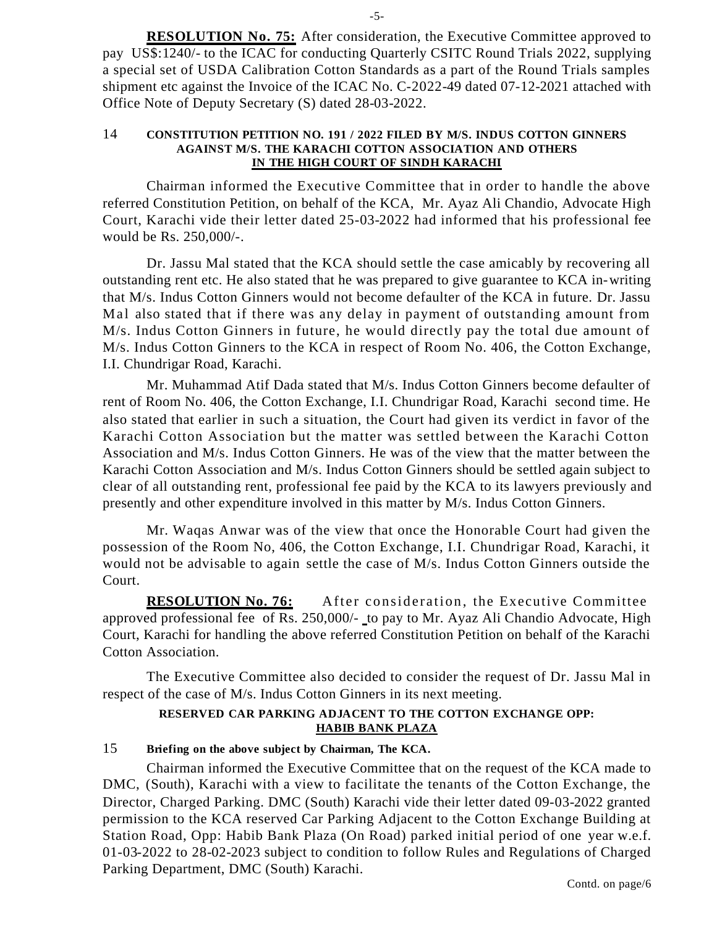**RESOLUTION No. 75:** After consideration, the Executive Committee approved to pay US\$:1240/- to the ICAC for conducting Quarterly CSITC Round Trials 2022, supplying a special set of USDA Calibration Cotton Standards as a part of the Round Trials samples shipment etc against the Invoice of the ICAC No. C-2022-49 dated 07-12-2021 attached with Office Note of Deputy Secretary (S) dated 28-03-2022.

#### 14 **CONSTITUTION PETITION NO. 191 / 2022 FILED BY M/S. INDUS COTTON GINNERS AGAINST M/S. THE KARACHI COTTON ASSOCIATION AND OTHERS IN THE HIGH COURT OF SINDH KARACHI**

Chairman informed the Executive Committee that in order to handle the above referred Constitution Petition, on behalf of the KCA, Mr. Ayaz Ali Chandio, Advocate High Court, Karachi vide their letter dated 25-03-2022 had informed that his professional fee would be Rs. 250,000/-.

Dr. Jassu Mal stated that the KCA should settle the case amicably by recovering all outstanding rent etc. He also stated that he was prepared to give guarantee to KCA in-writing that M/s. Indus Cotton Ginners would not become defaulter of the KCA in future. Dr. Jassu Mal also stated that if there was any delay in payment of outstanding amount from M/s. Indus Cotton Ginners in future, he would directly pay the total due amount of M/s. Indus Cotton Ginners to the KCA in respect of Room No. 406, the Cotton Exchange, I.I. Chundrigar Road, Karachi.

Mr. Muhammad Atif Dada stated that M/s. Indus Cotton Ginners become defaulter of rent of Room No. 406, the Cotton Exchange, I.I. Chundrigar Road, Karachi second time. He also stated that earlier in such a situation, the Court had given its verdict in favor of the Karachi Cotton Association but the matter was settled between the Karachi Cotton Association and M/s. Indus Cotton Ginners. He was of the view that the matter between the Karachi Cotton Association and M/s. Indus Cotton Ginners should be settled again subject to clear of all outstanding rent, professional fee paid by the KCA to its lawyers previously and presently and other expenditure involved in this matter by M/s. Indus Cotton Ginners.

Mr. Waqas Anwar was of the view that once the Honorable Court had given the possession of the Room No, 406, the Cotton Exchange, I.I. Chundrigar Road, Karachi, it would not be advisable to again settle the case of M/s. Indus Cotton Ginners outside the Court.

**RESOLUTION No. 76:** After consideration, the Executive Committee approved professional fee of Rs. 250,000/- to pay to Mr. Ayaz Ali Chandio Advocate, High Court, Karachi for handling the above referred Constitution Petition on behalf of the Karachi Cotton Association.

The Executive Committee also decided to consider the request of Dr. Jassu Mal in respect of the case of M/s. Indus Cotton Ginners in its next meeting.

## **RESERVED CAR PARKING ADJACENT TO THE COTTON EXCHANGE OPP: HABIB BANK PLAZA**

## 15 **Briefing on the above subject by Chairman, The KCA.**

Chairman informed the Executive Committee that on the request of the KCA made to DMC, (South), Karachi with a view to facilitate the tenants of the Cotton Exchange, the Director, Charged Parking. DMC (South) Karachi vide their letter dated 09-03-2022 granted permission to the KCA reserved Car Parking Adjacent to the Cotton Exchange Building at Station Road, Opp: Habib Bank Plaza (On Road) parked initial period of one year w.e.f. 01-03-2022 to 28-02-2023 subject to condition to follow Rules and Regulations of Charged Parking Department, DMC (South) Karachi.